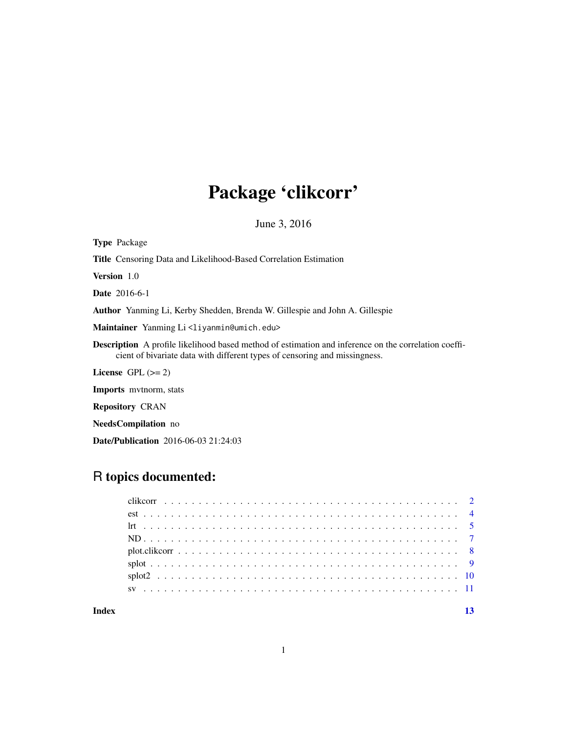## Package 'clikcorr'

June 3, 2016

Type Package Title Censoring Data and Likelihood-Based Correlation Estimation Version 1.0 Date 2016-6-1 Author Yanming Li, Kerby Shedden, Brenda W. Gillespie and John A. Gillespie Maintainer Yanming Li<liyanmin@umich.edu> Description A profile likelihood based method of estimation and inference on the correlation coefficient of bivariate data with different types of censoring and missingness. License GPL  $(>= 2)$ Imports mvtnorm, stats Repository CRAN NeedsCompilation no Date/Publication 2016-06-03 21:24:03

### R topics documented:

**Index** [13](#page-12-0)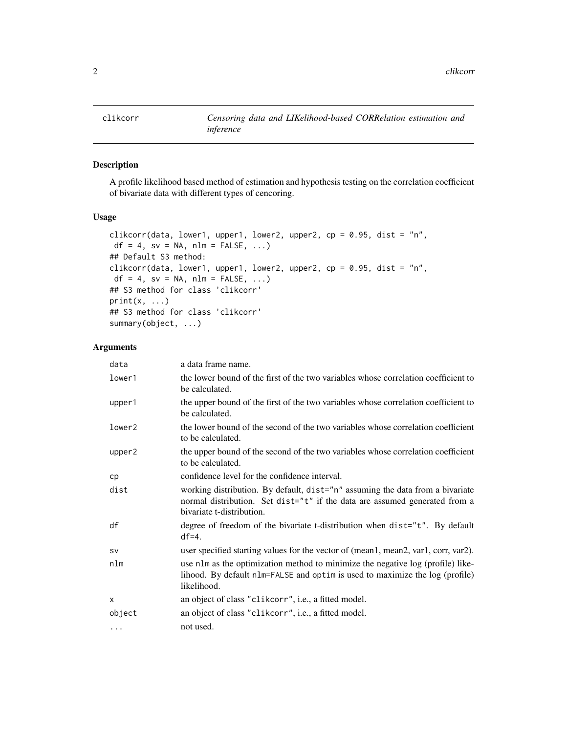<span id="page-1-0"></span>

#### Description

A profile likelihood based method of estimation and hypothesis testing on the correlation coefficient of bivariate data with different types of cencoring.

#### Usage

```
clikcorr(data, lower1, upper1, lower2, upper2, cp = 0.95, dist = "n",
df = 4, sv = NA, nlm = FALSE, ...)
## Default S3 method:
clikcorr(data, lower1, upper1, lower2, upper2, cp = 0.95, dist = "n",
df = 4, sv = NA, nlm = FALSE, ...)
## S3 method for class 'clikcorr'
print(x, \ldots)## S3 method for class 'clikcorr'
summary(object, ...)
```
#### Arguments

| data      | a data frame name.                                                                                                                                                                       |
|-----------|------------------------------------------------------------------------------------------------------------------------------------------------------------------------------------------|
| lower1    | the lower bound of the first of the two variables whose correlation coefficient to<br>be calculated.                                                                                     |
| upper1    | the upper bound of the first of the two variables whose correlation coefficient to<br>be calculated.                                                                                     |
| lower2    | the lower bound of the second of the two variables whose correlation coefficient<br>to be calculated.                                                                                    |
| upper2    | the upper bound of the second of the two variables whose correlation coefficient<br>to be calculated.                                                                                    |
| cp        | confidence level for the confidence interval.                                                                                                                                            |
| dist      | working distribution. By default, dist="n" assuming the data from a bivariate<br>normal distribution. Set dist="t" if the data are assumed generated from a<br>bivariate t-distribution. |
| df        | degree of freedom of the bivariate t-distribution when dist="t". By default<br>$df=4$ .                                                                                                  |
| <b>SV</b> | user specified starting values for the vector of (mean1, mean2, var1, corr, var2).                                                                                                       |
| nlm       | use nlm as the optimization method to minimize the negative log (profile) like-<br>lihood. By default nlm=FALSE and optim is used to maximize the log (profile)<br>likelihood.           |
| X         | an object of class "clikcorr", i.e., a fitted model.                                                                                                                                     |
| object    | an object of class "clikcorr", i.e., a fitted model.                                                                                                                                     |
| $\cdots$  | not used.                                                                                                                                                                                |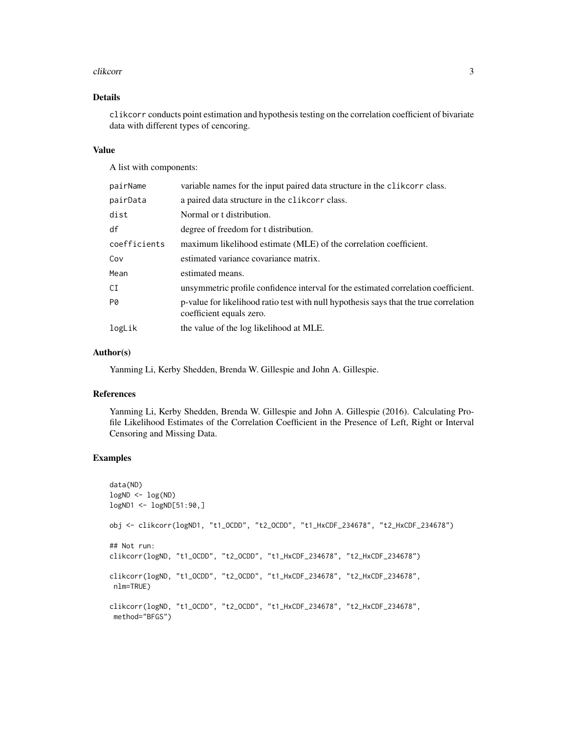#### clikcorr 3

#### Details

clikcorr conducts point estimation and hypothesis testing on the correlation coefficient of bivariate data with different types of cencoring.

#### Value

A list with components:

| pairName     | variable names for the input paired data structure in the clikcorr class.                                         |
|--------------|-------------------------------------------------------------------------------------------------------------------|
| pairData     | a paired data structure in the clikeorr class.                                                                    |
| dist         | Normal or t distribution.                                                                                         |
| df           | degree of freedom for t distribution.                                                                             |
| coefficients | maximum likelihood estimate (MLE) of the correlation coefficient.                                                 |
| Cov          | estimated variance covariance matrix.                                                                             |
| Mean         | estimated means.                                                                                                  |
| СI           | unsymmetric profile confidence interval for the estimated correlation coefficient.                                |
| PØ           | p-value for likelihood ratio test with null hypothesis says that the true correlation<br>coefficient equals zero. |
| logLik       | the value of the log likelihood at MLE.                                                                           |

#### Author(s)

Yanming Li, Kerby Shedden, Brenda W. Gillespie and John A. Gillespie.

#### References

Yanming Li, Kerby Shedden, Brenda W. Gillespie and John A. Gillespie (2016). Calculating Profile Likelihood Estimates of the Correlation Coefficient in the Presence of Left, Right or Interval Censoring and Missing Data.

#### Examples

```
data(ND)
logND <- log(ND)
logND1 <- logND[51:90,]
obj <- clikcorr(logND1, "t1_OCDD", "t2_OCDD", "t1_HxCDF_234678", "t2_HxCDF_234678")
## Not run:
clikcorr(logND, "t1_OCDD", "t2_OCDD", "t1_HxCDF_234678", "t2_HxCDF_234678")
clikcorr(logND, "t1_OCDD", "t2_OCDD", "t1_HxCDF_234678", "t2_HxCDF_234678",
 nlm=TRUE)
clikcorr(logND, "t1_OCDD", "t2_OCDD", "t1_HxCDF_234678", "t2_HxCDF_234678",
 method="BFGS")
```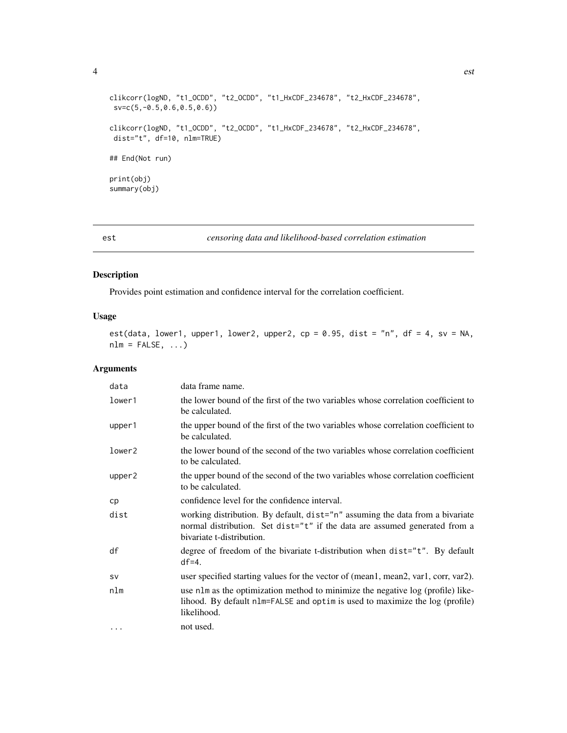<span id="page-3-0"></span>

```
clikcorr(logND, "t1_OCDD", "t2_OCDD", "t1_HxCDF_234678", "t2_HxCDF_234678",
 sv=c(5,-0.5,0.6,0.5,0.6))
clikcorr(logND, "t1_OCDD", "t2_OCDD", "t1_HxCDF_234678", "t2_HxCDF_234678",
dist="t", df=10, nlm=TRUE)
## End(Not run)
print(obj)
summary(obj)
```
est *censoring data and likelihood-based correlation estimation*

#### Description

Provides point estimation and confidence interval for the correlation coefficient.

#### Usage

```
est(data, lower1, upper1, lower2, upper2, cp = 0.95, dist = "n", df = 4, sv = NA,
nlm = FALSE, ...)
```
#### Arguments

| data               | data frame name.                                                                                                                                                                         |
|--------------------|------------------------------------------------------------------------------------------------------------------------------------------------------------------------------------------|
| lower1             | the lower bound of the first of the two variables whose correlation coefficient to<br>be calculated.                                                                                     |
| upper1             | the upper bound of the first of the two variables whose correlation coefficient to<br>be calculated.                                                                                     |
| lower <sub>2</sub> | the lower bound of the second of the two variables whose correlation coefficient<br>to be calculated.                                                                                    |
| upper2             | the upper bound of the second of the two variables whose correlation coefficient<br>to be calculated.                                                                                    |
| cp                 | confidence level for the confidence interval.                                                                                                                                            |
| dist               | working distribution. By default, dist="n" assuming the data from a bivariate<br>normal distribution. Set dist="t" if the data are assumed generated from a<br>bivariate t-distribution. |
| df                 | degree of freedom of the bivariate t-distribution when dist="t". By default<br>$df=4.$                                                                                                   |
| <b>SV</b>          | user specified starting values for the vector of (mean1, mean2, var1, corr, var2).                                                                                                       |
| nlm                | use nlm as the optimization method to minimize the negative log (profile) like-<br>lihood. By default nlm=FALSE and optim is used to maximize the log (profile)<br>likelihood.           |
| $\ddotsc$          | not used.                                                                                                                                                                                |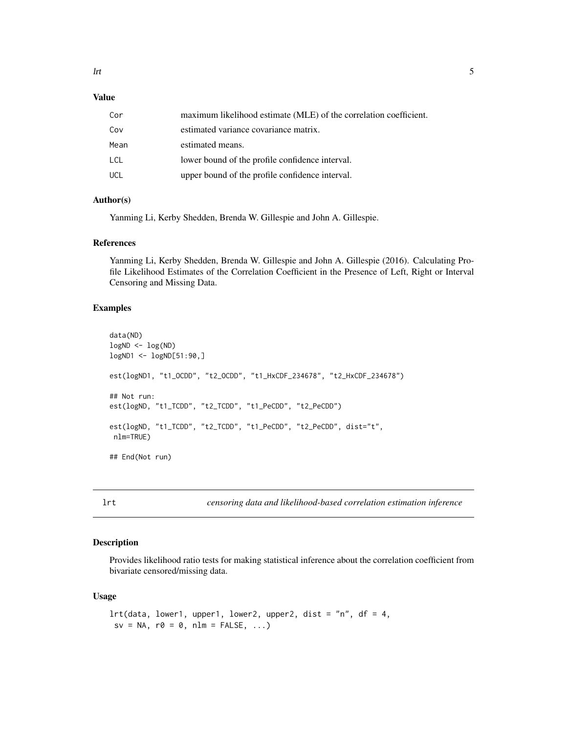#### <span id="page-4-0"></span>Value

| Cor  | maximum likelihood estimate (MLE) of the correlation coefficient. |
|------|-------------------------------------------------------------------|
| Cov  | estimated variance covariance matrix.                             |
| Mean | estimated means.                                                  |
| LCL  | lower bound of the profile confidence interval.                   |
| UCL  | upper bound of the profile confidence interval.                   |

#### Author(s)

Yanming Li, Kerby Shedden, Brenda W. Gillespie and John A. Gillespie.

#### References

Yanming Li, Kerby Shedden, Brenda W. Gillespie and John A. Gillespie (2016). Calculating Profile Likelihood Estimates of the Correlation Coefficient in the Presence of Left, Right or Interval Censoring and Missing Data.

#### Examples

```
data(ND)
logND <- log(ND)
logND1 <- logND[51:90,]
est(logND1, "t1_OCDD", "t2_OCDD", "t1_HxCDF_234678", "t2_HxCDF_234678")
## Not run:
est(logND, "t1_TCDD", "t2_TCDD", "t1_PeCDD", "t2_PeCDD")
est(logND, "t1_TCDD", "t2_TCDD", "t1_PeCDD", "t2_PeCDD", dist="t",
nlm=TRUE)
## End(Not run)
```
lrt *censoring data and likelihood-based correlation estimation inference*

#### Description

Provides likelihood ratio tests for making statistical inference about the correlation coefficient from bivariate censored/missing data.

#### Usage

```
lrt(data, lower1, upper1, lower2, upper2, dist = "n", df = 4,sv = NA, r\theta = \theta, nlm = FALSE, ...)
```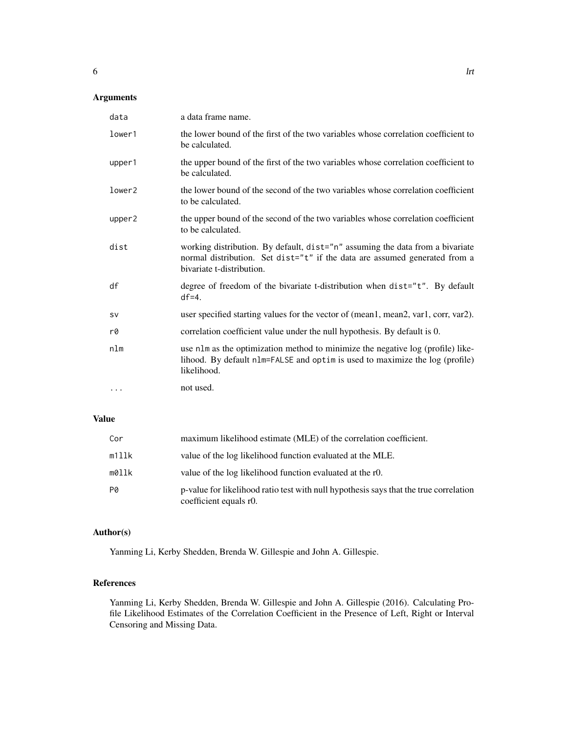| data    | a data frame name.                                                                                                                                                                       |
|---------|------------------------------------------------------------------------------------------------------------------------------------------------------------------------------------------|
| lower1  | the lower bound of the first of the two variables whose correlation coefficient to<br>be calculated.                                                                                     |
| upper1  | the upper bound of the first of the two variables whose correlation coefficient to<br>be calculated.                                                                                     |
| lower2  | the lower bound of the second of the two variables whose correlation coefficient<br>to be calculated.                                                                                    |
| upper2  | the upper bound of the second of the two variables whose correlation coefficient<br>to be calculated.                                                                                    |
| dist    | working distribution. By default, dist="n" assuming the data from a bivariate<br>normal distribution. Set dist="t" if the data are assumed generated from a<br>bivariate t-distribution. |
| df      | degree of freedom of the bivariate t-distribution when dist="t". By default<br>$df=4.$                                                                                                   |
| sv      | user specified starting values for the vector of (mean1, mean2, var1, corr, var2).                                                                                                       |
| r0      | correlation coefficient value under the null hypothesis. By default is 0.                                                                                                                |
| nlm     | use nlm as the optimization method to minimize the negative log (profile) like-<br>lihood. By default nlm=FALSE and optim is used to maximize the log (profile)<br>likelihood.           |
| $\cdot$ | not used.                                                                                                                                                                                |

#### Value

| Cor   | maximum likelihood estimate (MLE) of the correlation coefficient.                                               |
|-------|-----------------------------------------------------------------------------------------------------------------|
| m1llk | value of the log likelihood function evaluated at the MLE.                                                      |
| m0llk | value of the log likelihood function evaluated at the r0.                                                       |
| PØ    | p-value for likelihood ratio test with null hypothesis says that the true correlation<br>coefficient equals r0. |

#### Author(s)

Yanming Li, Kerby Shedden, Brenda W. Gillespie and John A. Gillespie.

#### References

Yanming Li, Kerby Shedden, Brenda W. Gillespie and John A. Gillespie (2016). Calculating Profile Likelihood Estimates of the Correlation Coefficient in the Presence of Left, Right or Interval Censoring and Missing Data.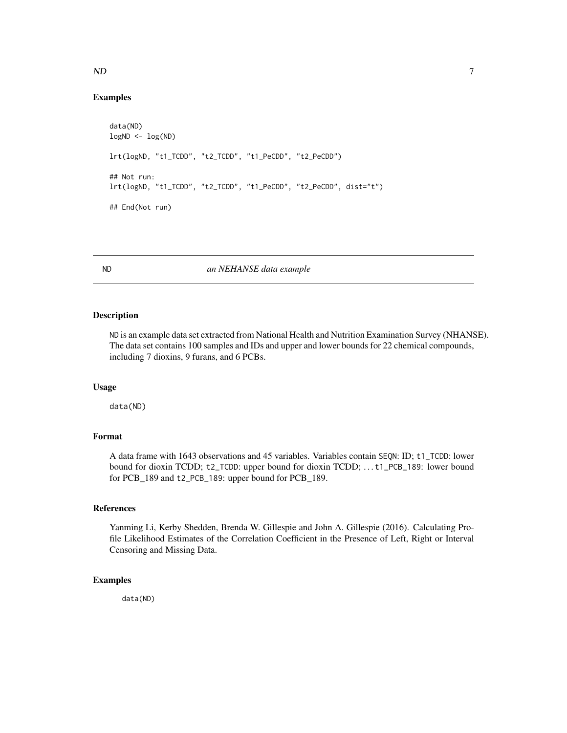#### <span id="page-6-0"></span> $ND$  7

#### Examples

```
data(ND)
logND < - log(ND)lrt(logND, "t1_TCDD", "t2_TCDD", "t1_PeCDD", "t2_PeCDD")
## Not run:
lrt(logND, "t1_TCDD", "t2_TCDD", "t1_PeCDD", "t2_PeCDD", dist="t")
## End(Not run)
```
ND *an NEHANSE data example*

#### Description

ND is an example data set extracted from National Health and Nutrition Examination Survey (NHANSE). The data set contains 100 samples and IDs and upper and lower bounds for 22 chemical compounds, including 7 dioxins, 9 furans, and 6 PCBs.

#### Usage

data(ND)

#### Format

A data frame with 1643 observations and 45 variables. Variables contain SEQN: ID; t1\_TCDD: lower bound for dioxin TCDD; t2\_TCDD: upper bound for dioxin TCDD; ... t1\_PCB\_189: lower bound for PCB\_189 and t2\_PCB\_189: upper bound for PCB\_189.

#### References

Yanming Li, Kerby Shedden, Brenda W. Gillespie and John A. Gillespie (2016). Calculating Profile Likelihood Estimates of the Correlation Coefficient in the Presence of Left, Right or Interval Censoring and Missing Data.

#### Examples

data(ND)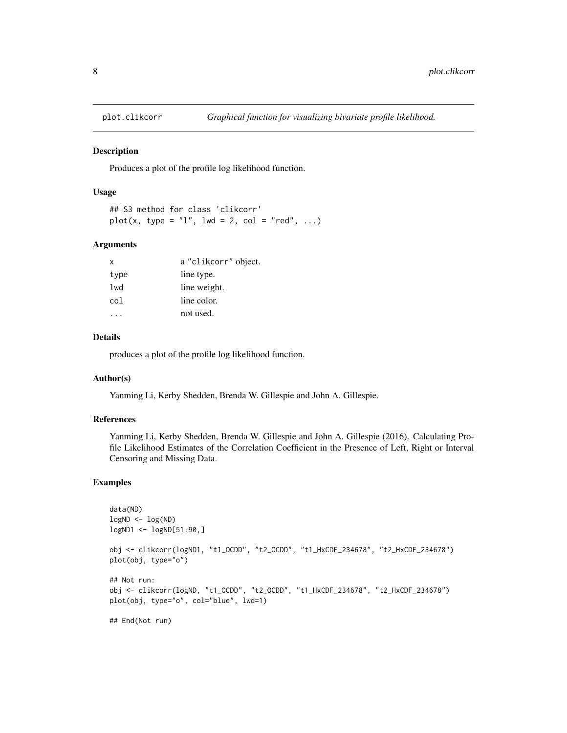<span id="page-7-0"></span>

#### Description

Produces a plot of the profile log likelihood function.

#### Usage

```
## S3 method for class 'clikcorr'
plot(x, type = "l", lwd = 2, col = "red", ...)
```
#### Arguments

| X    | a "clikcorr" object. |
|------|----------------------|
| type | line type.           |
| lwd  | line weight.         |
| col  | line color.          |
|      | not used.            |

#### Details

produces a plot of the profile log likelihood function.

#### Author(s)

Yanming Li, Kerby Shedden, Brenda W. Gillespie and John A. Gillespie.

#### References

Yanming Li, Kerby Shedden, Brenda W. Gillespie and John A. Gillespie (2016). Calculating Profile Likelihood Estimates of the Correlation Coefficient in the Presence of Left, Right or Interval Censoring and Missing Data.

#### Examples

```
data(ND)
logND <- log(ND)
logND1 <- logND[51:90,]
obj <- clikcorr(logND1, "t1_OCDD", "t2_OCDD", "t1_HxCDF_234678", "t2_HxCDF_234678")
plot(obj, type="o")
## Not run:
obj <- clikcorr(logND, "t1_OCDD", "t2_OCDD", "t1_HxCDF_234678", "t2_HxCDF_234678")
plot(obj, type="o", col="blue", lwd=1)
## End(Not run)
```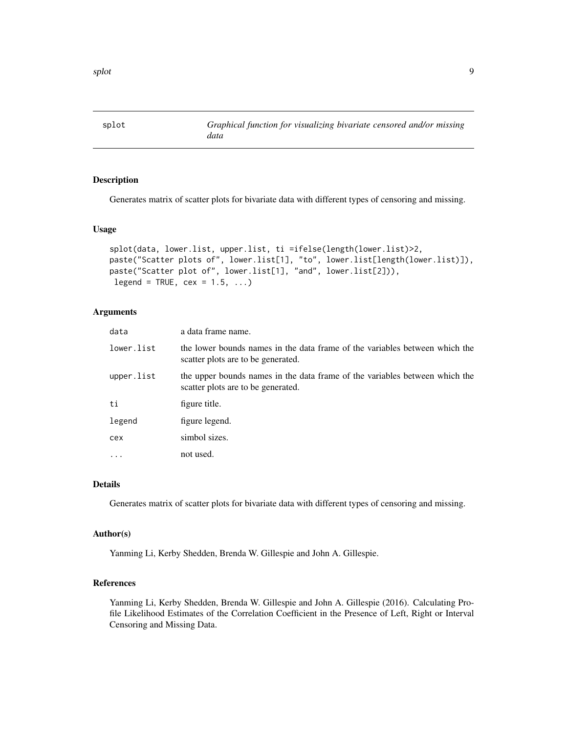<span id="page-8-0"></span>

#### Description

Generates matrix of scatter plots for bivariate data with different types of censoring and missing.

#### Usage

```
splot(data, lower.list, upper.list, ti =ifelse(length(lower.list)>2,
paste("Scatter plots of", lower.list[1], "to", lower.list[length(lower.list)]),
paste("Scatter plot of", lower.list[1], "and", lower.list[2])),
legend = TRUE, cex = 1.5, ...
```
#### Arguments

| data       | a data frame name.                                                                                                |
|------------|-------------------------------------------------------------------------------------------------------------------|
| lower.list | the lower bounds names in the data frame of the variables between which the<br>scatter plots are to be generated. |
| upper.list | the upper bounds names in the data frame of the variables between which the<br>scatter plots are to be generated. |
| ti         | figure title.                                                                                                     |
| legend     | figure legend.                                                                                                    |
| cex        | simbol sizes.                                                                                                     |
| $\ddotsc$  | not used.                                                                                                         |

#### Details

Generates matrix of scatter plots for bivariate data with different types of censoring and missing.

#### Author(s)

Yanming Li, Kerby Shedden, Brenda W. Gillespie and John A. Gillespie.

#### References

Yanming Li, Kerby Shedden, Brenda W. Gillespie and John A. Gillespie (2016). Calculating Profile Likelihood Estimates of the Correlation Coefficient in the Presence of Left, Right or Interval Censoring and Missing Data.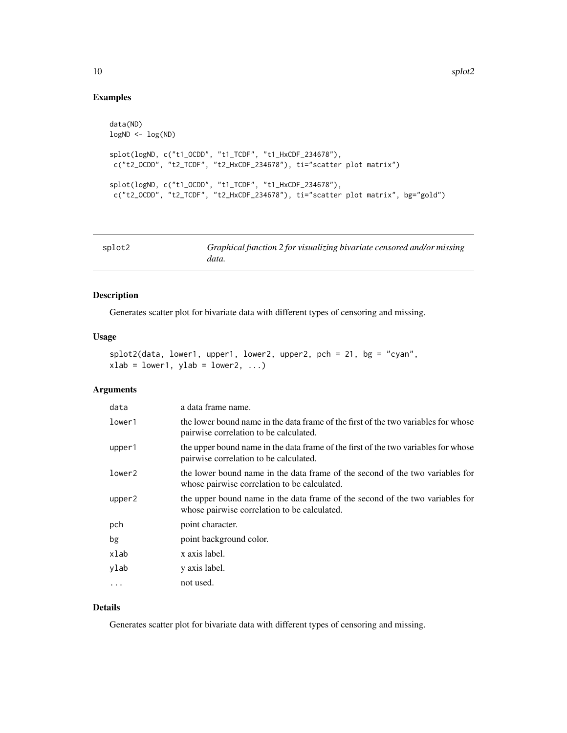#### Examples

```
data(ND)
logND <- log(ND)
splot(logND, c("t1_OCDD", "t1_TCDF", "t1_HxCDF_234678"),
c("t2_OCDD", "t2_TCDF", "t2_HxCDF_234678"), ti="scatter plot matrix")
splot(logND, c("t1_OCDD", "t1_TCDF", "t1_HxCDF_234678"),
c("t2_OCDD", "t2_TCDF", "t2_HxCDF_234678"), ti="scatter plot matrix", bg="gold")
```

| splot2 | Graphical function 2 for visualizing bivariate censored and/or missing |
|--------|------------------------------------------------------------------------|
|        | data.                                                                  |

#### Description

Generates scatter plot for bivariate data with different types of censoring and missing.

#### Usage

```
splot2(data, lower1, upper1, lower2, upper2, pch = 21, bg = "cyan",
xlab = lower1, ylab = lower2, ...)
```
#### Arguments

| data   | a data frame name.                                                                                                            |
|--------|-------------------------------------------------------------------------------------------------------------------------------|
| lower1 | the lower bound name in the data frame of the first of the two variables for whose<br>pairwise correlation to be calculated.  |
| upper1 | the upper bound name in the data frame of the first of the two variables for whose<br>pairwise correlation to be calculated.  |
| lower2 | the lower bound name in the data frame of the second of the two variables for<br>whose pairwise correlation to be calculated. |
| upper2 | the upper bound name in the data frame of the second of the two variables for<br>whose pairwise correlation to be calculated. |
| pch    | point character.                                                                                                              |
| bg     | point background color.                                                                                                       |
| xlab   | x axis label.                                                                                                                 |
| ylab   | y axis label.                                                                                                                 |
| .      | not used.                                                                                                                     |

#### Details

Generates scatter plot for bivariate data with different types of censoring and missing.

<span id="page-9-0"></span>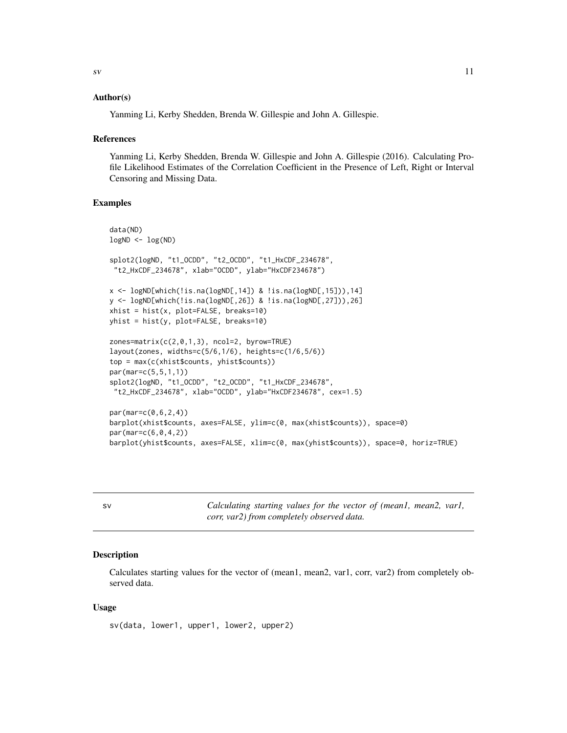#### <span id="page-10-0"></span>Author(s)

Yanming Li, Kerby Shedden, Brenda W. Gillespie and John A. Gillespie.

#### References

Yanming Li, Kerby Shedden, Brenda W. Gillespie and John A. Gillespie (2016). Calculating Profile Likelihood Estimates of the Correlation Coefficient in the Presence of Left, Right or Interval Censoring and Missing Data.

#### Examples

```
data(ND)
logND <- log(ND)
splot2(logND, "t1_OCDD", "t2_OCDD", "t1_HxCDF_234678",
 "t2_HxCDF_234678", xlab="OCDD", ylab="HxCDF234678")
x <- logND[which(!is.na(logND[,14]) & !is.na(logND[,15])),14]
y <- logND[which(!is.na(logND[,26]) & !is.na(logND[,27])),26]
xhist = hist(x, plot=False, breaks=10)yhist = hist(y, plot=FALSE, breaks=10)
zones=matrix(c(2,0,1,3), ncol=2, byrow=TRUE)
layout(zones, widths=c(5/6,1/6), heights=c(1/6,5/6))
top = max(c(xhist$counts, yhist$counts))
par(mar=c(5,5,1,1))
splot2(logND, "t1_OCDD", "t2_OCDD", "t1_HxCDF_234678",
 "t2_HxCDF_234678", xlab="OCDD", ylab="HxCDF234678", cex=1.5)
par(mar=c(0,6,2,4))
barplot(xhist$counts, axes=FALSE, ylim=c(0, max(xhist$counts)), space=0)
par(mar=c(6,0,4,2))
barplot(yhist$counts, axes=FALSE, xlim=c(0, max(yhist$counts)), space=0, horiz=TRUE)
```
sv *Calculating starting values for the vector of (mean1, mean2, var1, corr, var2) from completely observed data.*

#### Description

Calculates starting values for the vector of (mean1, mean2, var1, corr, var2) from completely observed data.

#### Usage

sv(data, lower1, upper1, lower2, upper2)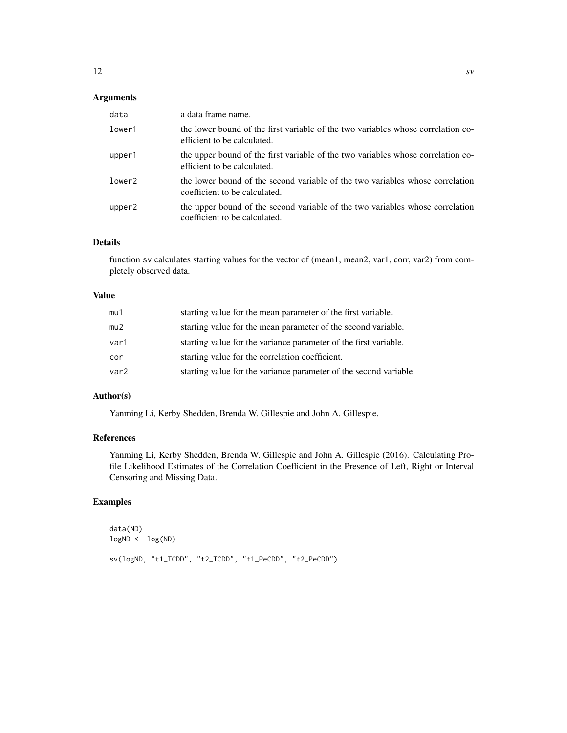| data   | a data frame name.                                                                                              |
|--------|-----------------------------------------------------------------------------------------------------------------|
| lower1 | the lower bound of the first variable of the two variables whose correlation co-<br>efficient to be calculated. |
| upper1 | the upper bound of the first variable of the two variables whose correlation co-<br>efficient to be calculated. |
| lower2 | the lower bound of the second variable of the two variables whose correlation<br>coefficient to be calculated.  |
| upper2 | the upper bound of the second variable of the two variables whose correlation<br>coefficient to be calculated.  |

#### Details

function sv calculates starting values for the vector of (mean1, mean2, var1, corr, var2) from completely observed data.

#### Value

| mu1  | starting value for the mean parameter of the first variable.      |
|------|-------------------------------------------------------------------|
| mu2  | starting value for the mean parameter of the second variable.     |
| var1 | starting value for the variance parameter of the first variable.  |
| cor  | starting value for the correlation coefficient.                   |
| var2 | starting value for the variance parameter of the second variable. |

#### Author(s)

Yanming Li, Kerby Shedden, Brenda W. Gillespie and John A. Gillespie.

#### References

Yanming Li, Kerby Shedden, Brenda W. Gillespie and John A. Gillespie (2016). Calculating Profile Likelihood Estimates of the Correlation Coefficient in the Presence of Left, Right or Interval Censoring and Missing Data.

#### Examples

data(ND) logND <- log(ND) sv(logND, "t1\_TCDD", "t2\_TCDD", "t1\_PeCDD", "t2\_PeCDD")